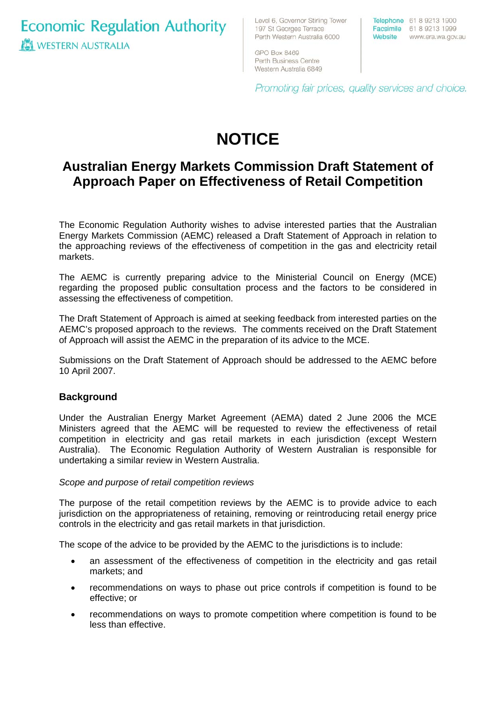**Economic Regulation Authority WESTERN AUSTRALIA** 

Level 6, Governor Stirling Tower 197 St Georges Terrace Perth Western Australia 6000

Telephone 61 8 9213 1900 Facsimile 61 8 9213 1999 Website www.era.wa.gov.au

GPO Box 8469 Perth Business Centre Western Australia 6849

Promoting fair prices, quality services and choice.

# **NOTICE**

### **Australian Energy Markets Commission Draft Statement of Approach Paper on Effectiveness of Retail Competition**

The Economic Regulation Authority wishes to advise interested parties that the Australian Energy Markets Commission (AEMC) released a Draft Statement of Approach in relation to the approaching reviews of the effectiveness of competition in the gas and electricity retail markets.

The AEMC is currently preparing advice to the Ministerial Council on Energy (MCE) regarding the proposed public consultation process and the factors to be considered in assessing the effectiveness of competition.

The Draft Statement of Approach is aimed at seeking feedback from interested parties on the AEMC's proposed approach to the reviews. The comments received on the Draft Statement of Approach will assist the AEMC in the preparation of its advice to the MCE.

Submissions on the Draft Statement of Approach should be addressed to the AEMC before 10 April 2007.

#### **Background**

Under the Australian Energy Market Agreement (AEMA) dated 2 June 2006 the MCE Ministers agreed that the AEMC will be requested to review the effectiveness of retail competition in electricity and gas retail markets in each jurisdiction (except Western Australia). The Economic Regulation Authority of Western Australian is responsible for undertaking a similar review in Western Australia.

#### *Scope and purpose of retail competition reviews*

The purpose of the retail competition reviews by the AEMC is to provide advice to each jurisdiction on the appropriateness of retaining, removing or reintroducing retail energy price controls in the electricity and gas retail markets in that jurisdiction.

The scope of the advice to be provided by the AEMC to the jurisdictions is to include:

- an assessment of the effectiveness of competition in the electricity and gas retail markets; and
- recommendations on ways to phase out price controls if competition is found to be effective; or
- recommendations on ways to promote competition where competition is found to be less than effective.